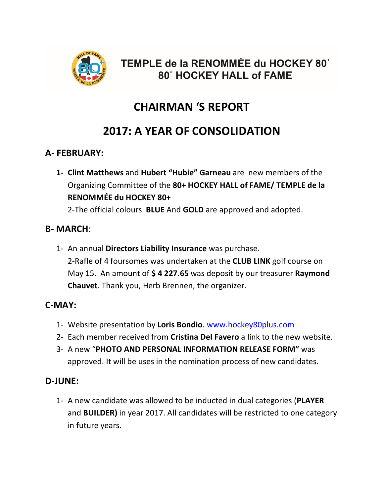

### TEMPLE de la RENOMMÉE du HOCKEY 80<sup>+</sup> 80<sup>+</sup> HOCKEY HALL of FAME

# **CHAIRMAN 'S REPORT**

## **2017: A YEAR OF CONSOLIDATION**

#### **A- FEBRUARY:**

**1- Clint Matthews** and **Hubert "Hubie" Garneau** are new members of the Organizing Committee of the **80+ HOCKEY HALL of FAME/ TEMPLE de la RENOMMÉE du HOCKEY 80+** 

2-The official colours **BLUE** And **GOLD** are approved and adopted.

#### **B- MARCH**:

1- An annual **Directors Liability Insurance** was purchase. 2-Rafle of 4 foursomes was undertaken at the **CLUB LINK** golf course on May 15. An amount of **\$ 4 227.65** was deposit by our treasurer **Raymond Chauvet**. Thank you, Herb Brennen, the organizer.

#### **C-MAY:**

- 1- Website presentation by **Loris Bondio**. www.hockey80plus.com
- 2- Each member received from **Cristina Del Favero** a link to the new website.
- 3- A new "**PHOTO AND PERSONAL INFORMATION RELEASE FORM"** was approved. It will be uses in the nomination process of new candidates.

#### **D-JUNE:**

1- A new candidate was allowed to be inducted in dual categories (**PLAYER** and **BUILDER)** in year 2017. All candidates will be restricted to one category in future years.